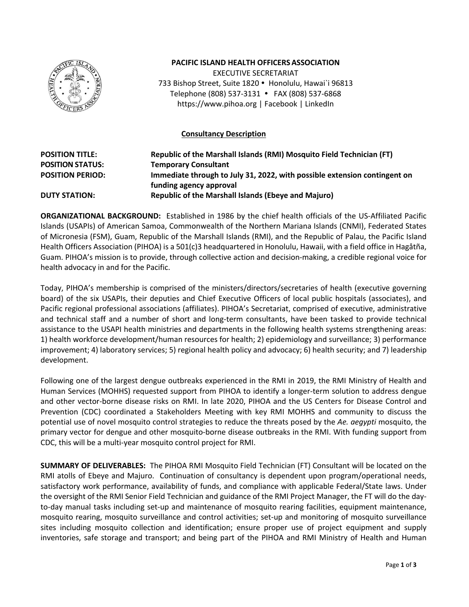

## **PACIFIC ISLAND HEALTH OFFICERSASSOCIATION**

EXECUTIVE SECRETARIAT 733 Bishop Street, Suite 1820 · Honolulu, Hawai`i 96813 Telephone (808) 537-3131 FAX (808) 537-6868 https://www.pihoa.org | Facebook | LinkedIn

### **Consultancy Description**

# **POSITION TITLE: Republic of the Marshall Islands (RMI) Mosquito Field Technician (FT) POSITION STATUS: Temporary Consultant POSITION PERIOD: Immediate through to July 31, 2022, with possible extension contingent on funding agency approval DUTY STATION: Republic of the Marshall Islands (Ebeye and Majuro)**

**ORGANIZATIONAL BACKGROUND:** Established in 1986 by the chief health officials of the US-Affiliated Pacific Islands (USAPIs) of American Samoa, Commonwealth of the Northern Mariana Islands (CNMI), Federated States of Micronesia (FSM), Guam, Republic of the Marshall Islands (RMI), and the Republic of Palau, the Pacific Island Health Officers Association (PIHOA) is a 501(c)3 headquartered in Honolulu, Hawaii, with a field office in Hagåtña, Guam. PIHOA's mission is to provide, through collective action and decision-making, a credible regional voice for health advocacy in and for the Pacific.

Today, PIHOA's membership is comprised of the ministers/directors/secretaries of health (executive governing board) of the six USAPIs, their deputies and Chief Executive Officers of local public hospitals (associates), and Pacific regional professional associations (affiliates). PIHOA's Secretariat, comprised of executive, administrative and technical staff and a number of short and long-term consultants, have been tasked to provide technical assistance to the USAPI health ministries and departments in the following health systems strengthening areas: 1) health workforce development/human resources for health; 2) epidemiology and surveillance; 3) performance improvement; 4) laboratory services; 5) regional health policy and advocacy; 6) health security; and 7) leadership development.

Following one of the largest dengue outbreaks experienced in the RMI in 2019, the RMI Ministry of Health and Human Services (MOHHS) requested support from PIHOA to identify a longer-term solution to address dengue and other vector-borne disease risks on RMI. In late 2020, PIHOA and the US Centers for Disease Control and Prevention (CDC) coordinated a Stakeholders Meeting with key RMI MOHHS and community to discuss the potential use of novel mosquito control strategies to reduce the threats posed by the *Ae. aegypti* mosquito, the primary vector for dengue and other mosquito-borne disease outbreaks in the RMI. With funding support from CDC, this will be a multi-year mosquito control project for RMI.

**SUMMARY OF DELIVERABLES:** The PIHOA RMI Mosquito Field Technician (FT) Consultant will be located on the RMI atolls of Ebeye and Majuro. Continuation of consultancy is dependent upon program/operational needs, satisfactory work performance, availability of funds, and compliance with applicable Federal/State laws. Under the oversight of the RMI Senior Field Technician and guidance of the RMI Project Manager, the FT will do the dayto-day manual tasks including set-up and maintenance of mosquito rearing facilities, equipment maintenance, mosquito rearing, mosquito surveillance and control activities; set-up and monitoring of mosquito surveillance sites including mosquito collection and identification; ensure proper use of project equipment and supply inventories, safe storage and transport; and being part of the PIHOA and RMI Ministry of Health and Human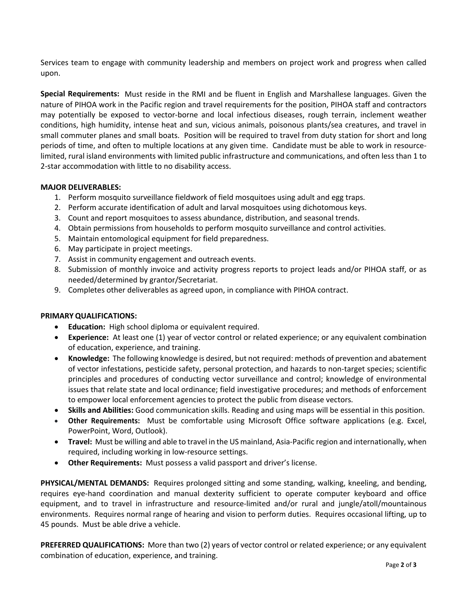Services team to engage with community leadership and members on project work and progress when called upon.

**Special Requirements:** Must reside in the RMI and be fluent in English and Marshallese languages. Given the nature of PIHOA work in the Pacific region and travel requirements for the position, PIHOA staff and contractors may potentially be exposed to vector-borne and local infectious diseases, rough terrain, inclement weather conditions, high humidity, intense heat and sun, vicious animals, poisonous plants/sea creatures, and travel in small commuter planes and small boats. Position will be required to travel from duty station for short and long periods of time, and often to multiple locations at any given time. Candidate must be able to work in resourcelimited, rural island environments with limited public infrastructure and communications, and often less than 1 to 2-star accommodation with little to no disability access.

## **MAJOR DELIVERABLES:**

- 1. Perform mosquito surveillance fieldwork of field mosquitoes using adult and egg traps.
- 2. Perform accurate identification of adult and larval mosquitoes using dichotomous keys.
- 3. Count and report mosquitoes to assess abundance, distribution, and seasonal trends.
- 4. Obtain permissions from households to perform mosquito surveillance and control activities.
- 5. Maintain entomological equipment for field preparedness.
- 6. May participate in project meetings.
- 7. Assist in community engagement and outreach events.
- 8. Submission of monthly invoice and activity progress reports to project leads and/or PIHOA staff, or as needed/determined by grantor/Secretariat.
- 9. Completes other deliverables as agreed upon, in compliance with PIHOA contract.

#### **PRIMARY QUALIFICATIONS:**

- **Education:** High school diploma or equivalent required.
- **Experience:** At least one (1) year of vector control or related experience; or any equivalent combination of education, experience, and training.
- **Knowledge:** The following knowledge is desired, but not required: methods of prevention and abatement of vector infestations, pesticide safety, personal protection, and hazards to non-target species; scientific principles and procedures of conducting vector surveillance and control; knowledge of environmental issues that relate state and local ordinance; field investigative procedures; and methods of enforcement to empower local enforcement agencies to protect the public from disease vectors.
- **Skills and Abilities:** Good communication skills. Reading and using maps will be essential in this position.
- **Other Requirements:** Must be comfortable using Microsoft Office software applications (e.g. Excel, PowerPoint, Word, Outlook).
- **Travel:** Must be willing and able to travel in the US mainland, Asia-Pacific region and internationally, when required, including working in low-resource settings.
- **Other Requirements:** Must possess a valid passport and driver's license.

**PHYSICAL/MENTAL DEMANDS:** Requires prolonged sitting and some standing, walking, kneeling, and bending, requires eye-hand coordination and manual dexterity sufficient to operate computer keyboard and office equipment, and to travel in infrastructure and resource-limited and/or rural and jungle/atoll/mountainous environments. Requires normal range of hearing and vision to perform duties. Requires occasional lifting, up to 45 pounds. Must be able drive a vehicle.

**PREFERRED QUALIFICATIONS:** More than two (2) years of vector control or related experience; or any equivalent combination of education, experience, and training.